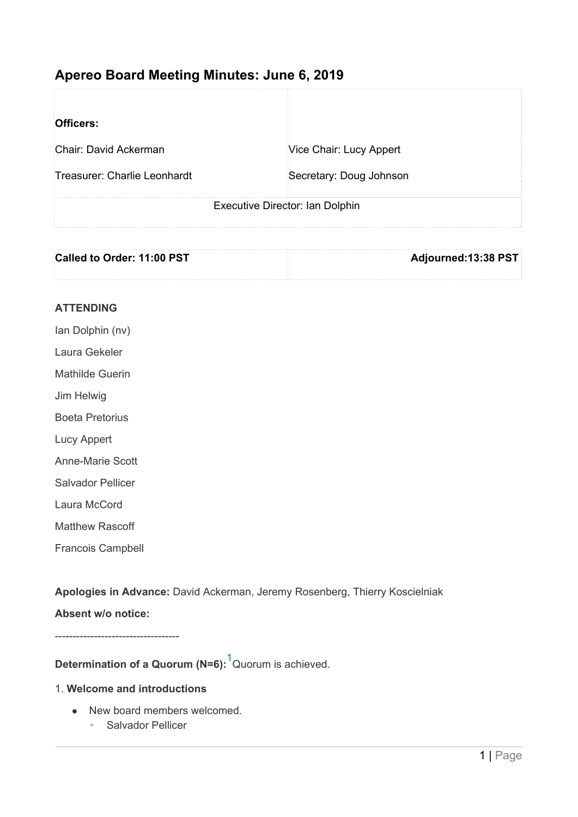# **Apereo Board Meeting Minutes: June 6, 2019**

| Officers:                       |                         |
|---------------------------------|-------------------------|
| Chair: David Ackerman           | Vice Chair: Lucy Appert |
| Treasurer: Charlie Leonhardt    | Secretary: Doug Johnson |
| Executive Director: Ian Dolphin |                         |

| Called to Order: 11:00 PST |                     |
|----------------------------|---------------------|
|                            | Adjourned:13:38 PST |
|                            |                     |
|                            |                     |
|                            |                     |

## **ATTENDING**

- Ian Dolphin (nv)
- Laura Gekeler
- Mathilde Guerin
- Jim Helwig
- Boeta Pretorius
- Lucy Appert
- Anne-Marie Scott
- Salvador Pellicer
- Laura McCord
- Matthew Rascoff
- Francois Campbell

**Apologies in Advance:** David Ackerman, Jeremy Rosenberg, Thierry Koscielniak

## **Absent w/o notice:**

-----------------------------------

**Determination of a Quorum (N=6):** [1](http://tools.solgen.co.za/notes/edit/1106#sdfootnote1sym)Quorum is achieved.

#### 1. **Welcome and introductions**

- New board members welcomed.
	- Salvador Pellicer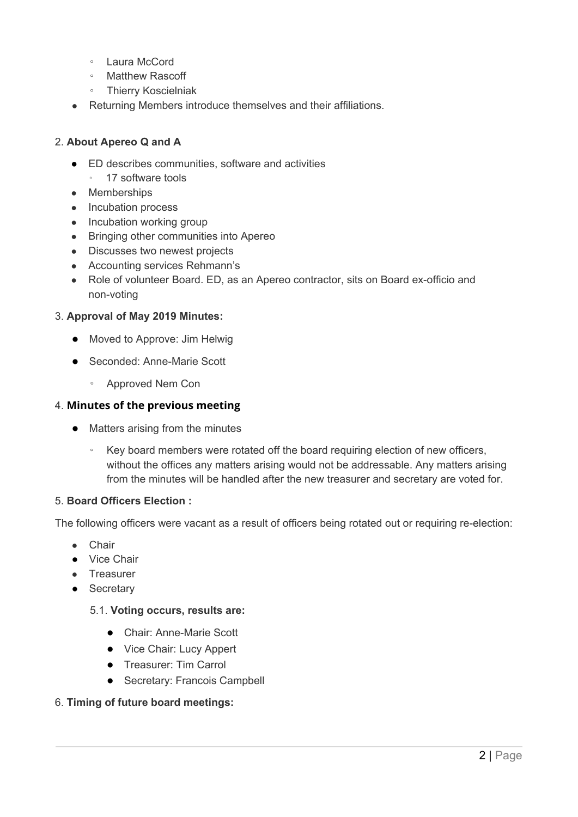- Laura McCord
- Matthew Rascoff
- Thierry Koscielniak
- Returning Members introduce themselves and their affiliations.

### 2. **About Apereo Q and A**

- ED describes communities, software and activities
	- 17 software tools
- Memberships
- Incubation process
- Incubation working group
- Bringing other communities into Apereo
- Discusses two newest projects
- Accounting services Rehmann's
- Role of volunteer Board. ED, as an Apereo contractor, sits on Board ex-officio and non-voting

#### 3. **Approval of May 2019 Minutes:**

- Moved to Approve: Jim Helwig
- Seconded: Anne-Marie Scott
	- Approved Nem Con

### 4. **Minutes of the previous meeting**

- Matters arising from the minutes
	- Key board members were rotated off the board requiring election of new officers, without the offices any matters arising would not be addressable. Any matters arising from the minutes will be handled after the new treasurer and secretary are voted for.

#### 5. **Board Officers Election :**

The following officers were vacant as a result of officers being rotated out or requiring re-election:

- Chair
- Vice Chair
- Treasurer
- Secretary

#### 5.1. **Voting occurs, results are:**

- Chair: Anne-Marie Scott
- Vice Chair: Lucy Appert
- Treasurer: Tim Carrol
- Secretary: Francois Campbell

#### 6. **Timing of future board meetings:**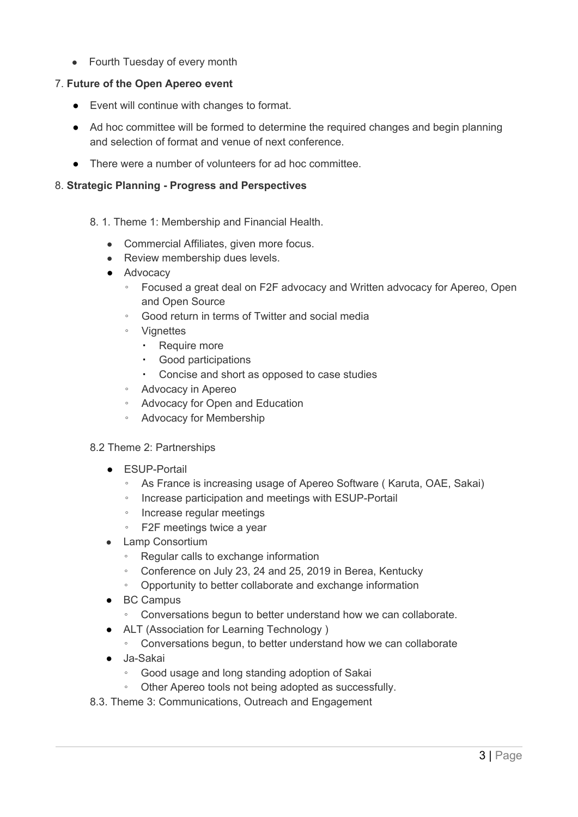• Fourth Tuesday of every month

## 7. **Future of the Open Apereo event**

- Event will continue with changes to format.
- Ad hoc committee will be formed to determine the required changes and begin planning and selection of format and venue of next conference.
- There were a number of volunteers for ad hoc committee.

## 8. **Strategic Planning - Progress and Perspectives**

- 8. 1. Theme 1: Membership and Financial Health.
	- Commercial Affiliates, given more focus.
	- Review membership dues levels.
	- Advocacy
		- Focused a great deal on F2F advocacy and Written advocacy for Apereo, Open and Open Source
		- Good return in terms of Twitter and social media
		- Vignettes
			- Require more
			- Good participations
			- Concise and short as opposed to case studies
		- Advocacy in Apereo
		- Advocacy for Open and Education
		- Advocacy for Membership

#### 8.2 Theme 2: Partnerships

- ESUP-Portail
	- As France is increasing usage of Apereo Software ( Karuta, OAE, Sakai)
	- Increase participation and meetings with ESUP-Portail
	- Increase regular meetings
	- F2F meetings twice a year
- Lamp Consortium
	- Regular calls to exchange information
	- Conference on July 23, 24 and 25, 2019 in Berea, Kentucky
	- Opportunity to better collaborate and exchange information
- BC Campus
	- Conversations begun to better understand how we can collaborate.
- ALT (Association for Learning Technology)
	- Conversations begun, to better understand how we can collaborate
- Ja-Sakai
	- Good usage and long standing adoption of Sakai
	- Other Apereo tools not being adopted as successfully.
- 8.3. Theme 3: Communications, Outreach and Engagement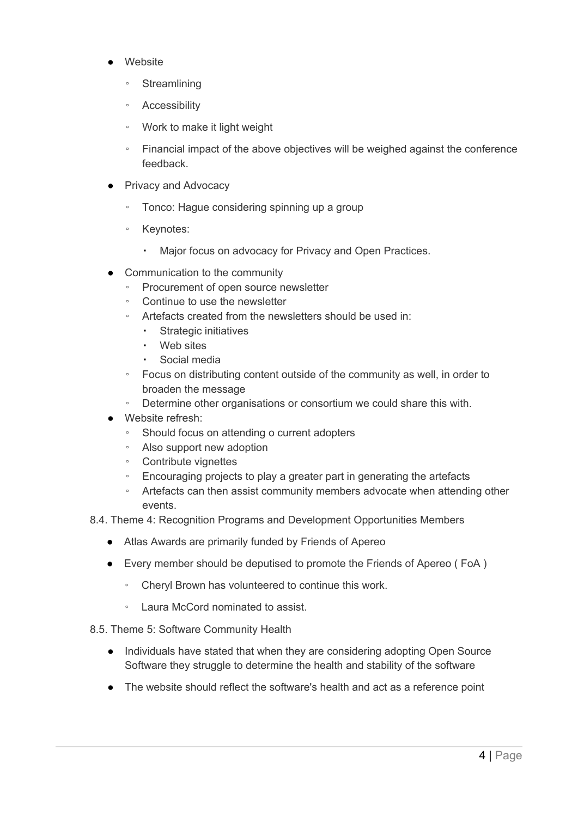- Website
	- Streamlining
	- Accessibility
	- Work to make it light weight
	- Financial impact of the above objectives will be weighed against the conference feedback.
- **Privacy and Advocacy** 
	- Tonco: Hague considering spinning up a group
	- Keynotes:
		- Major focus on advocacy for Privacy and Open Practices.
- Communication to the community
	- Procurement of open source newsletter
	- Continue to use the newsletter
	- Artefacts created from the newsletters should be used in:
		- Strategic initiatives
		- Web sites
		- Social media
	- Focus on distributing content outside of the community as well, in order to broaden the message
	- Determine other organisations or consortium we could share this with.
- Website refresh:
	- Should focus on attending o current adopters
	- Also support new adoption
	- Contribute vignettes
	- Encouraging projects to play a greater part in generating the artefacts
	- Artefacts can then assist community members advocate when attending other events.
- 8.4. Theme 4: Recognition Programs and Development Opportunities Members
	- Atlas Awards are primarily funded by Friends of Apereo
	- Every member should be deputised to promote the Friends of Apereo ( FoA )
		- Cheryl Brown has volunteered to continue this work.
		- Laura McCord nominated to assist.
- 8.5. Theme 5: Software Community Health
	- Individuals have stated that when they are considering adopting Open Source Software they struggle to determine the health and stability of the software
	- The website should reflect the software's health and act as a reference point